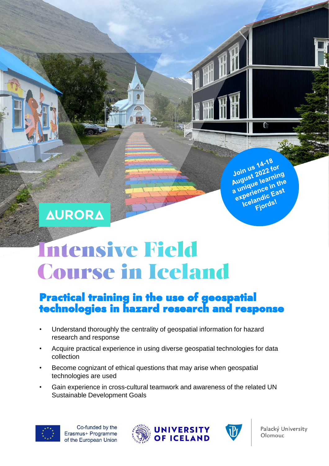# **AURORA**

# **Intensive Field Course in Iceland**

曲

人权

# Practical training in the use of geospatial technologies in hazard research and response

- Understand thoroughly the centrality of geospatial information for hazard research and response
- Acquire practical experience in using diverse geospatial technologies for data collection
- Become cognizant of ethical questions that may arise when geospatial technologies are used
- Gain experience in cross-cultural teamwork and awareness of the related UN Sustainable Development Goals







14-18 Join us 14-18<br>Join us 12022 for<br>August 2022 for<br>August 20 in the Join us 1022 for<br>August 2022 for<br>a unique learning<br>a unique learning August Zuearning<br>a unique learnithe<br>a unique noe in the Inique<br>Kperience in Wi-<br>Kperiendic East<br>Icelandic East andic<br>Fjords!

> Palacký University Olomouc